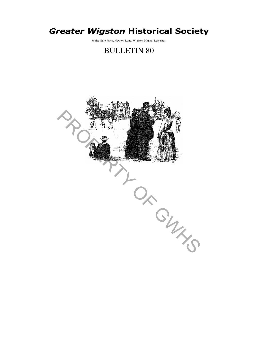# Greater Wigston Historical Society

White Gate Farm,.Newton Lane. Wigston Magna, Leicester.

# BULLETIN 80

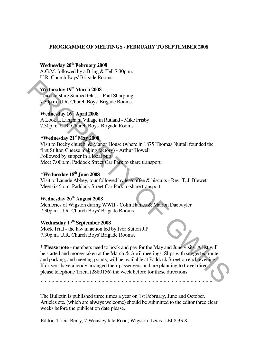#### **PROGRAMME OF MEETINGS - FEBRUARY TO SEPTEMBER 2008**

## **Wednesday 20th February 2008**

A.G.M. followed by a Bring & Tell 7.30p.m. U.R. Church Boys' Brigade Rooms.

# **Wednesday 19th March 2008**

Leicestershire Stained Glass - Paul Sharpling 7.30p.m. U.R. Church Boys' Brigade Rooms.

# **Wednesday 16th April 2008**

A Look at Langham Village in Rutland - Mike Frisby 7.30p.m. U.R. Church Boys' Brigade Rooms.

## **\*Wednesday 21st May 2008**

Visit to Beeby church, & Manor House (where in 1875 Thomas Nuttall founded the first Stilton Cheese making factory) - Arthur Howell Followed by supper in a local pub Meet 7.00p.m. Paddock Street Car Park to share transport.

# **\*Wednesday 18th June 2008**

Visit to Launde Abbey, tour followed by tea/coffee & biscuits - Rev. T. J. Blewett Meet 6.45p.m. Paddock Street Car Park to share transport.

## **Wednesday 20th August 2008**

Memories of Wigston during WWII - Colin Hames & Marion Daetwyler 7.30p.m. U.R. Church Boys' Brigade Rooms.

#### Wednesday  $17<sup>th</sup>$  **September 2008**

Mock Trial - the law in action led by Ivor Sutton J.P. 7.30p.m. U.R. Church Boys' Brigade Rooms.

**\* Please note** - members need to book and pay for the May and June visits. A list will be started and money taken at the March & April meetings. Slips with suggested route and parking, and meeting points, will be available at Paddock Street on each evening. If drivers have already arranged their passengers and are planning to travel direct, please telephone Tricia (2880156) the week before for these directions. **Wednesday 19<sup>th</sup> March 2008**<br>
Leicestershine Stained Glass - Paul Sharpling<br>
7,60p.m. U.R. Church Boys' Brigade Rooms.<br> **Wednesday 10<sup>t</sup>** April 2008<br>
A Look at Langham Villuge in Rudand - Mike Frisby<br>
7.30p.m. U.R. Churc

\* \* \* \* \* \* \* \* \* \* \* \* \* \* \* \* \* \* \* \* \* \* \* \* \* \* \* \* \* \* \* \* \* \* \* \* \* \* \* \* \* \* \* \* \*

The Bulletin is published three times a year on 1st February, June and October. Articles etc. (which are always welcome) should be submitted to the editor three clear weeks before the publication date please.

Editor: Tricia Berry, 7 Wensleydale Road, Wigston. Leics. LEI 8 3RX.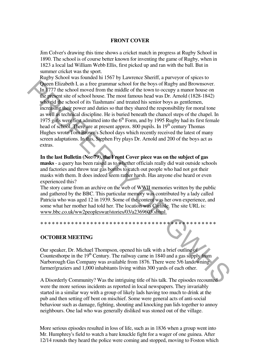#### **FRONT COVER**

Jim Colver's drawing this time shows a cricket match in progress at Rugby School in 1890. The school is of course better known for inventing the game of Rugby, when in 1823 a local lad William Webb Ellis, first picked up and ran with the ball. But in summer cricket was the sport.

Rugby School was founded hi 1567 by Lawrence Sheriff, a purveyor of spices to Queen Elizabeth I, as a free grammar school for the boys of Rugby and Brownsover. In 1777 the school moved from the middle of the town to occupy a manor house on the present site of school house. The most famous head was Dr. Arnold (1828-1842) who rid the school of its 'fiashmans' and treated his senior boys as gentlemen, increasing their power and duties so that they shared the responsibility for moral tone as well as technical discipline. He is buried beneath the chancel steps of the chapel. In 1975 girls were first admitted into the  $6<sup>th</sup>$  Form, and by 1995 Rugby had its first female head of school. There are at present approx. 800 pupils. In 19<sup>th</sup> century Thomas Hughes wrote Tom Brown's School days which recently received the latest of many screen adaptations. In this, Stephen Fry plays Dr. Arnold and 200 of the boys act as extras. Queen Elizabeth I. as a free grammar school for the boys of Rugby and Brownsover.<br>In 777 the school move from the middle of the town to occupy a manor house on<br>the present site of school house. The most famous head was Dr

**In the last Bulletin (No: 79), the Front Cover piece was on the subject of gas masks** - a query has been raised as to whether officials really did wait outside schools and factories and throw tear gas bombs to catch out people who had not got their masks with them. It does indeed seem rather harsh. Has anyone else heard or even experienced this?

The story came from an archive on the web of WWII memories written by the public and gathered by the BBC. This particular memory was contributed by a lady called Patricia who was aged 12 in 1939. Some of the content was her own experience, and some what her mother had told her. The location was Carlisle. The site URL is: www.bbc.co.uk/ww2peopleswar/stories/03/a2369603.shtml.

**\* \* \* \* \* \* \* \* \* \* \* \* \* \* \* \* \* \* \* \* \* \* \* \* \* \* \* \* \* \* \* \* \* \* \* \* \* \* \* \* \* \* \* \* \* \*** 

## **OCTOBER MEETING**

Our speaker, Dr. Michael Thompson, opened his talk with a brief outline of Countesthorpe in the  $19<sup>th</sup>$  Century. The railway came in 1840 and a gas supply from Narborough Gas Company was available from 1876. There were 5/6 landowning farmer/graziers and 1,000 inhabitants living within 300 yards of each other.

A Disorderly Community? Was the intriguing title of his talk. The episodes recounted were the more serious incidents as reported in local newspapers. They invariably started in a similar way with a group of likely lads having too much to drink at the pub and then setting off bent on mischief. Some were general acts of anti-social behaviour such as damage, fighting, shouting and knocking pan lids together to annoy neighbours. One lad who was generally disliked was stoned out of the village.

More serious episodes resulted in loss of life, such as in 1836 when a group went into Mr. Humphrey's field to watch a bare knuckle fight for a wager of one guinea. After 12/14 rounds they heard the police were coming and stopped, moving to Foston which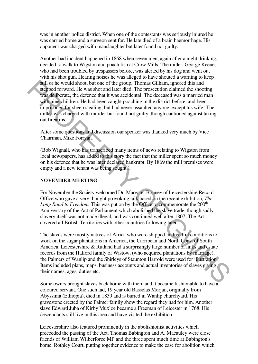was in another police district. When one of the contestants was seriously injured he was carried home and a surgeon sent for. He late died of a brain haemorrhage. His opponent was charged with manslaughter but later found not guilty.

Another bad incident happened in 1868 when seven men, again after a night drinking, decided to walk to Wigston and poach fish at Crow Mills. The miller, George Keene, who had been troubled by trespassers before, was alerted by his dog and went out with his shot gun. Hearing noises he was alleged to have shouted a warning to keep still or he would shoot, but one of the group, Thomas Gilham, ignored this and stepped forward. He was shot and later died. The prosecution claimed the shooting was deliberate, the defence that it was accidental. The deceased was a married man with nine children. He had been caught poaching in the district before, and been imprisoned for sheep stealing, but had never assaulted anyone, except his wife! The miller was charged with murder but found not guilty, though cautioned against taking out firearms. Sull or he would shoot, but one of the group. Thomas Gillam is ignored this and<br>respect forward. He was shot and later died. The prosecution claimed the shooting<br>was deliberate, the defence that it was accidental. The dec

After some questions and discussion our speaker was thanked very much by Vice Chairman, Mike Forryan.

(Bob Wignall, who has transcribed many items of news relating to Wigston from local newspapers, has added to this story the fact that the miller spent so much money on his defence that he was later declared bankrupt. By 1869 the mill premises were empty and a new tenant was being sought.)

#### **NOVEMBER MEETING**

For November the Society welcomed Dr. Margaret Bonney of Leicestershire Record Office who gave a very thought provoking talk based on the recent exhibition, *The Long Road to Freedom.* This was put on by the Office to commemorate the 200<sup>th</sup> Anniversary of the Act of Parliament which abolished the slave trade, though sadly slavery itself was not made illegal, and was continued well after 1807. The Act covered all British Territories with other countries following later.

The slaves were mostly natives of Africa who were shipped in dreadful conditions to work on the sugar plantations in America, the Carribean and North Coast of South America. Leicestershire & Rutland had a surprisingly large number of links and estate records from the Halford family of Wistow, (who acquired plantations by marriage), the Palmers of Wanlip and the Shirleys of Staunton Harrold were used for illustration. Items included plans, maps, business accounts and actual inventories of slaves giving their names, ages, duties etc.

Some ownrs brought slaves back home with them and it became fashionable to have a coloured servant. One such lad, 19 year old Rasselas Morjan, originally from Abyssinia (Ethiopia), died in 1839 and is buried in Wanlip churchyard. His gravestone erected by the Palmer family show the regard they had for him. Another slave Edward Juba of Kirby Muxloe became a Freeman of Leicester in 1768. His descendants still live in this area and have visited the exhibition.

Leicestershire also featured prominently in the abolishionist activities which preceeded the passing of the Act. Thomas Babington and A. Macauley were close friends of William Wilberforce MP and the three spent much time at Babington's home, Rothley Court, putting together evidence to make the case for abolition which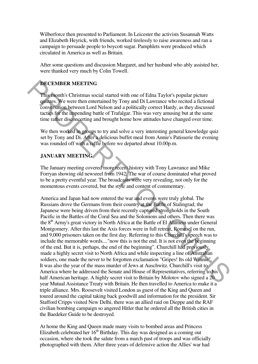Wilberforce then presented to Parliament. In Leicester the activists Susannah Watts and Elizabeth Heyrick, with friends, worked tirelessly to raise awareness and ran a campaign to persuade people to boycott sugar. Pamphlets were produced which circulated in America as well as Britain.

After some questions and discussion Margaret, and her husband who ably assisted her, were thanked very much by Colin Towell.

# **DECEMBER MEETING**

This month's Christmas social started with one of Edna Taylor's popular picture quizzes. We were then entertained by Tony and Di Lawrance who recited a fictional conversation between Lord Nelson and a politically correct Hardy, as they discussed tactics for the impending battle of Trafalgar. This was very amusing but at the same time rather disconcerting and brought home how attitudes have changed over time.

We then worked in groups to try and solve a very interesting general knowledge quiz set by Tony and Di. After a delicious buffet meal from Annie's Patisserie the evening was rounded off with a raffle before we departed about 10.00p.m.

## **JANUARY MEETING**

The January meeting covered more recent history with Tony Lawrance and Mike Forryan showing old newsreel from 1942. The war of course dominated what proved to be a pretty eventful year. The broadcasts were very revealing, not only for the momentous events covered, but the style and content of commentary.

America and Japan had now entered the war and events were truly global. The Russians drove the Germans from their country at the Battle of Stalingrad; the Japanese were being driven from their recently captured strongholds in the South Pacific in the Battles of the Coral Sea and the Solomons and others. Then there was the 8<sup>th</sup> Army's great victory in North Africa at the Battle of El Alamein under General Montgomery. After this last the Axis forces were in full retreat, Rommel on the run, and 9,000 prisoners taken on the first day. Referring to this Churchill's speech was to include the memorable words...."now this is not the end. It is not even the beginning of the end. But it is, perhaps, the end of the beginning". Churchill had previously made a highly secret visit to North Africa and while inspecting a line of Australian soldiers, one made the never to be forgotten exclamation "Gripes! Its old Winnie". It was also the year of the mass murder of Jews at Auschwitz. Churchill's visit to America where he addressed the Senate and House of Representatives, referring to his half American heritage. A highly secret visit to Britain by Molotov who signed a 20 year Mutual Assistance Treaty with Britain. He then travelled to America to make it a triple alliance. Mrs. Roosevelt visited London as guest of the King and Queen and toured around the capital taking back goodwill and information for the president. Sir Stafford Cripps visited New Delhi, there was an allied raid on Dieppe and the RAF civilian bombing campaign so angered Hitler that he ordered all the British cities in the Baedeker Guide to be destroyed. **IDENTIFY THE SET TAKE THE SET TANG**<br> **This month's Christmas social started with one of Edan Taylor's popular pieture<br>
quizes, We were then entertained by Tony and Di Lawrance who recited a fictional<br>
conversation between** 

At home the King and Queen made many visits to bombed areas and Princess Elizabeth celebrated her  $16<sup>th</sup>$  Birthday. This day was designed as a coming out occasion, where she took the salute from a march past of troops and was officially photographed with them. After three years of defensive action the Allies' war had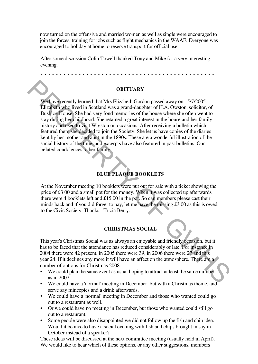now turned on the offensive and married women as well as single were encouraged to join the forces, training for jobs such as flight mechanics in the WAAF. Everyone was encouraged to holiday at home to reserve transport for official use.

After some discussion Colin Towell thanked Tony and Mike for a very interesting evening.

\* \* \* \* \* \* \* \* \* \* \* \* \* \* \* \* \* \* \* \* \* \* \* \* \* \* \* \* \* \* \* \* \* \* \* \* \* \* \* \* \* \* \* \* \* \*

#### **OBITUARY**

We have recently learned that Mrs Elizabeth Gordon passed away on 15/7/2005. Elizabeth who lived in Scotland was a grand-daughter of H.A. Owston, solicitor, of Bushloe House. She had very fond memories of the house where she often went to stay during her childhood. She retained a great interest in the house and her family history and used to visit Wigston on occasions. After receiving a bulletin which featured them she decided to join the Society. She let us have copies of the diaries kept by her mother and aunt in the 1890s. These are a wonderful illustration of the social history of the time, and excerpts have also featured in past bulletins. Our belated condolences to her family. **CHEAPET CONTINUARY**<br> **CHEAPET CONTINUARY**<br> **CHEAPET WE TO SET THE SURFAURE CONTINUARY**<br> **CHEAPET WE DESTRAINED** CONTINUAL WAS a grand-daughter of H.A. Owston, solicitor, of<br>
Buside House She had very from memories of the

# **BLUE PLAQUE BOOKLETS**

At the November meeting 10 booklets were put out for sale with a ticket showing the price of £3 00 and a small pot for the money. When it was collected up afterwards there were 4 booklets left and £15 00 in the pot. So can members please cast their minds back and if you did forget to pay, let me have the missing £3 00 as this is owed to the Civic Society. Thanks - Tricia Berry.

#### **CHRISTMAS SOCIAL**

This year's Christmas Social was as always an enjoyable and friendly occasion, but it has to be faced that the attendance has reduced considerably of late. For instance in 2004 there were 42 present, in 2005 there were 39, in 2006 there were 27 and this year 24. If it declines any more it will have an affect on the atmosphere. There are a number of options for Christmas 2008:

- We could plan the same event as usual hoping to attract at least the same number as in 2007.
- We could have a 'normal' meeting in December, but with a Christmas theme, and serve say mincepies and a drink afterwards.
- We could have a 'normal' meeting in December and those who wanted could go out to a restaurant as well.
- Or we could have no meeting in December, but those who wanted could still go out to a restaurant.
- Some people were also disappointed we did not follow up the fish and chip idea. Would it be nice to have a social evening with fish and chips brought in say in October instead of a speaker?

These ideas will be discussed at the next committee meeting (usually held in April). We would like to hear which of these options, or any other suggestions, members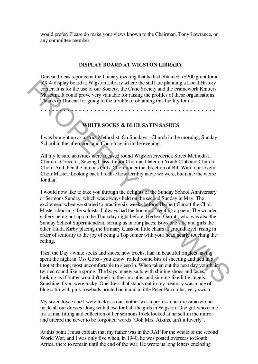would prefer. Please do make your views known to the Chairman, Tony Lawrance, or any committee member.

#### **DISPLAY BOARD AT WIGSTON LIBRARY**

Duncan Lucas reported at the January meeting that he had obtained a £200 grant for a 5'X 4' display board at Wigston Library where the staff are planning a Local History corner. It is for the use of our Society, the Civic Society and the Framework Knitters Museum. It could prove very valuable for raising the profiles of these organisations. Thanks to Duncan for going to the trouble of obtaining this facility for us.

\* \* \* \* \* \* \* \* \* \* \* \* \* \* \* \* \* \* \* \* \* \* \* \* \* \* \* \* \* \* \* \* \* \* \* \* \* \* \* \* \* \* \* \* \* \*

## **WHITE SOCKS & BLUE SATIN SASHES**

I was brought up as a strict Methodist. On Sundays - Church in the morning, Sunday School in the afternoon, and Church again in the evening.

All my leisure activities were focused round Wigston Frederick Street Methodist Church - Concerts, Sewing Class, Junior Choir and later on Youth Club and Church Choir. And then the famous Girls' Choir under the direction of Bill Ward our lovely Choir Master. Looking back I realise how terribly naive we were, but none the worse for that!

I would now like to take you through the delights of the Sunday School Anniversary or Sermons Sunday, which was always held on the second Sunday in May. The excitement when we started to practise six weeks before. Herbert Garratt the Choir Master choosing the soloists, I always had the honour of reciting a poem. The wooden gallery being put up on the Thursday night before. Herbert Garratt, who was also the Sunday School Superintendent, sorting us in our places. Boys one side and girls the other. Hilda Kirby placing the Primary Class on little chairs at ground level, rising in order of seniority to the joy of being a Top Junior with your head nearly touching the ceiling. SX 4' display boad at Wisson Library where the staff are planning a Local History Comer. It is for the set of or Society, the Civic Society and the Framework Knitters<br>
Museum, It could prove very valuable for raising the

Then the Day - white socks and shoes, new frocks, hair in beautiful ringlets having spent the night in 'Oss Gobs - you know, rolled round bits of sheeting and tied in a knot at the top; most uncomfortable to sleep in. When taken out the next day your hair twirled round like a spring. The boys in new suits with shining shoes and faces, looking as if butter wouldn't melt in their mouths, and singing like little angels. Sunshine if you were lucky. One dress that stands out in my memory was made of blue satin with pink rosebuds printed on it and a little Peter Pan collar, very swish.

My sister Joyce and I were lucky as our mother was a professional dressmaker and made all our dresses along with those for half the girls in Wigston. One girl who came for a final fitting and collection of her sermons frock looked at herself in the mirror and uttered the never to be forgotten words "Ooh Mrs. Atkins, ain't it luverly".

At this point I must explain that my father was in the RAF for the whole of the second World War, and I was only five when, in 1940, he was posted overseas to South Africa, there to remain until the end of the war. He wrote us long letters enclosing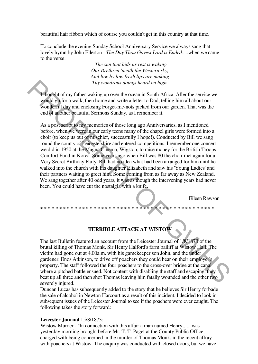beautiful hair ribbon which of course you couldn't get in this country at that time.

To conclude the evening Sunday School Anniversary Service we always sang that lovely hymn by John Ellerton - *The Day Thou Gavest Lord is Ended.*. ..when we came to the verse:

> *The sun that bids us rest is waking Our Brethren 'neath the Western sky, And low by low fresh lips are making Thy wondrous doings heard on high.*

I thought of my father waking up over the ocean in South Africa. After the service we would go for a walk, then home and write a letter to Dad, telling him all about our wonderful day and enclosing Forget-me-nots picked from our garden. That was the end of another beautiful Sermons Sunday, as I remember it.

As a post script to my memories of those long ago Anniversaries, as I mentioned before, when we were in our early teens many of the chapel girls were formed into a choir (to keep us out of mischief, successfully I hope!). Conducted by Bill we sang round the county of Leicestershire and entered competitions. I remember one concert we did in 1950 at the Magna Cinema, Wigston, to raise money for the British Troops Comfort Fund in Korea. Some years ago when Bill was 80 the choir met again for a Very Secret Birthday Party. Bill had no idea what had been arranged for him until he walked into the church with his daughter Elizabeth and saw his 'Young Ladies' and their partners waiting to greet him. Some coming from as far away as New Zealand. We sang together after 40 odd years, it was as though the intervening years had never been. You could have cut the nostalgia with a knife. The wondrous doings heard on high.<br>
The vehicle of my faiter vaking up over the ocean in South Africa. After the service we<br>
wonderful day and enclosing Forget-me-nots picked riorn our garden. That was the<br>
end of another

Eileen Rawson

# **TERRIBLE ATTACK AT WISTOW**

\* \* \* \* \* \* \* \* \* \* \* \* \* \* \* \* \* \* \* \* \* \* \* \* \* \* \* \* \* \* \* \* \* \* \* \* \* \* \* \* \* \* \* \* \* \*

The last Bulletin featured an account from the Leicester Journal of 1/8/1873 of the brutal killing of Thomas Monk, Sir Henry Halford's farm bailiff at Wistow Hall. The victim had gone out at 4.00a.m. with his gamekeeper son John, and the under gardener, Enos Atkinson, to drive off poachers they could hear on their employer's property. The staff followed the four poachers to the cross-over bridge at the canal where a pitched battle ensued. Not content with disabling the staff and escaping, they beat up all three and then shot Thomas leaving him fatally wounded and the other two severely injured.

Duncan Lucas has subsequently added to the story that he believes Sir Henry forbade the sale of alcohol in Newton Harcourt as a result of this incident. I decided to look in subsequent issues of the Leicester Journal to see if the poachers were ever caught. The following takes the story forward:

#### **Leicester Journal** 15/8/1873:

Wistow Murder - "hi connection with this affair a man named Henry...... was yesterday morning brought before Mr. T. T. Paget at the County Public Office, charged with being concerned in the murder of Thomas Monk, in the recent affray with poachers at Wistow. The enquiry was conducted with closed doors, but we have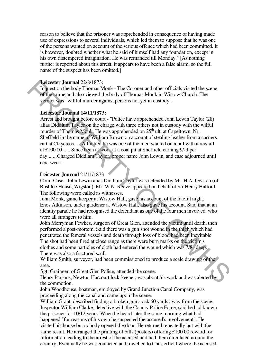reason to believe that the prisoner was apprehended in consequence of having made use of expressions to several individuals, which led them to suppose that he was one of the persons wanted on account of the serious offence which had been committed. It is however, doubted whether what he said of himself had any foundation, except in his own distempered imagination. He was remanded till Monday." [As nothing further is reported about this arrest, it appears to have been a false alarm, so the full name of the suspect has been omitted.]

#### **Leicester Journal** 22/8/1873:

Inquest on the body Thomas Monk - The Coroner and other officials visited the scene of the crime and also viewed the body of Thomas Monk in Wistow Church. The verdict was "willful murder against persons not yet in custody".

## **Leicester Journal 14/11/1873:**

Arrest and brought before court - "Police have apprehended John Lewin Taylor (28) alias Diddlum Taylor on the charge with three others not in custody with the wilful murder of Thomas Monk. He was apprehended on 25<sup>th</sup> ult. at Capeltown, Nr. Sheffield in the name of William Brown on account of stealing leather from a carriers cart at Claycross.....Admitted he was one of the men wanted on a bill with a reward of £100 00...... Since been at work at a coal pit at Sheffield earning 9/-d per day.......Charged Diddlam Taylor, proper name John Lewin, and case adjourned until next week." Leiecster Journal 2287/1873:<br>
Leiecster Dournal 2287/1873.<br>
Leiecster Journal Monk - The Coroner and other officials visited the seene<br>
of the crime and also viewed the body of Thomas Monk in Wistow Church. The<br>
syricit w

## **Leicester Journal** 21/11/1873:

Court Case - John Lewin alias Diddlum Taylor was defended by Mr. H.A. Owston (of Bushloe House, Wigston). Mr. W.N. Reeve appeared on behalf of Sir Henry Halford. The following were called as witnesses.

John Monk, game keeper at Wistow Hall, gave his account of the fateful night. Enos Atkinson, under gardener at Wistow Hall, also gave his account. Said that at an identity parade he had recognised the defendant as one of the four men involved, who were all strangers to him.

John Merryman Fewkes, surgeon of Great Glen, attended the victim until death, then performed a post-mortem. Said there was a gun shot wound in the thigh which had penetrated the femeral vessels and death through loss of blood had been inevitable. The shot had been fired at close range as there were burn marks on the victim's

clothes and some particles of cloth had entered the wound which was 7/8" deep. There was also a fractured scull.

William Smith, surveyor, had been commissioned to produce a scale drawing of the area.

Sgt. Grainger, of Great Glen Police, attended the scene.

Henry Parsons, Newton Harcourt lock-keeper, was about his work and was alerted by the commotion.

John Woodhouse, boatman, employed by Grand Junction Canal Company, was proceeding along the canal and came upon the scene.

William Grant, described finding a broken gun stock 60 yards away from the scene. Inspector William Clarke, detective with the County Police Force, said he had known the prisoner for 10/12 years. When he heard later the same morning what had happened "for reasons of his own he suspected the accused's involvement". He visited his house but nobody opened the door. He returned repeatedly but with the same result. He arranged the printing of bills (posters) offering £100 00 reward for information leading to the arrest of the accused and had them circulated around the country. Eventually he was contacted and travelled to Chesterfield where the accused,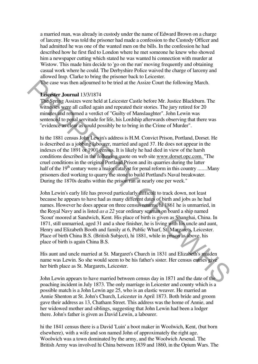a married man, was already in custody under the name of Edward Brown on a charge of larceny. He was told the prisoner had made a confession to the Custody Officer and had admitted he was one of the wanted men on the bills. In the confession he had described how he first fled to London where he met someone he knew who showed him a newspaper cutting which stated he was wanted hi connection with murder at Wistow. This made him decide to 'go on the run' moving frequently and obtaining casual work where he could. The Derbyshire Police waived the charge of larceny and allowed Insp. Clarke to bring the prisoner back to Leicester.

The case was then adjourned to be tried at the Assize Court the following March.

#### **Leicester Journal** 13/3/1874

The Spring Assizes were held at Leicester Castle before Mr. Justice Blackburn. The witnesses were all called again and repeated their stories. The jury retired for 20 minutes and returned a verdict of "Guilty of Manslaughter". John Lewin was sentenced to penal servitude for life, his Lordship afterwards observing that there was "evidence as clear as could possibly be to bring in the Crime of Murder".

hi the 1881 census John Lewin's address is H.M. Convict Prison, Portland, Dorset. He is described as a jobbing labourer, married and aged 37. He does not appear in the indexes of the 1891 or 1901 census. It is likely he had died in view of the harsh conditions described in the following quote on web site www.dorset.opc.com. "The cruel conditions in the original Portland Prison and its quarries during the latter half of the  $19<sup>th</sup>$  century were a major catalyst for penal reform in this country ....... Many prisoners died working to quarry the stone to build Portland's Naval breakwater. During the 1870s deaths within the prison ran at nearly one per week."

John Lewin's early life has proved particularly difficult to track down, not least because he appears to have had as many different dates of birth and jobs as he had names. However he does appear on three census returns, hi 1861 he is unmarried, in the Royal Navy and is listed *as a 22* year ordinary seaman on board a ship named 'Scout' moored at Sandwich, Kent. His place of birth is given as Shanghai, China. In 1871, still unmarried, aged 31 and a shoe finisher, he is living with his uncle and aunt, Henry and Elizabeth Booth and family at 6, Public Wharf, St. Margarets, Leicester. Place of birth China B.S. (British Subject), hi 1881, while in prison as above, his place of birth is again China B.S. The case was then adjounced to be tried at the Assize Court the following March.<br> **Exceptive Assize Some hand at Leicester Castle before Mr. Justice Blackburn.** The twinesses were all called again and repeated their storie

His aunt and uncle married at St. Margaret's Church in 1831 and Elizabeth's maiden name was Lewin. So she would seem to be his father's sister. Her census entries give her birth place as St. Margarets, Leicester.

John Lewin appears to have married between census day in 1871 and the date of the poaching incident in July 1873. The only marriage in Leicester and county which is a possible match is a John Lewin age 25, who is an elastic weaver. He married an Annie Shenton at St. John's Church, Leicester in April 1873. Both bride and groom gave their address as 13, Chatham Street. This address was the home of Annie, and her widowed mother and siblings, suggesting that John Lewin had been a lodger there. John's father is given as David Lewin, a labourer.

hi the 1841 census there is a David 'Luin' a boot maker in Woolwich, Kent, (but born elsewhere), with a wife and son named John of approximately the right age. Woolwich was a town dominated by the army, and the Woolwich Arsenal. The British Army was involved hi China between 1839 and 1860, in the Opium Wars. The